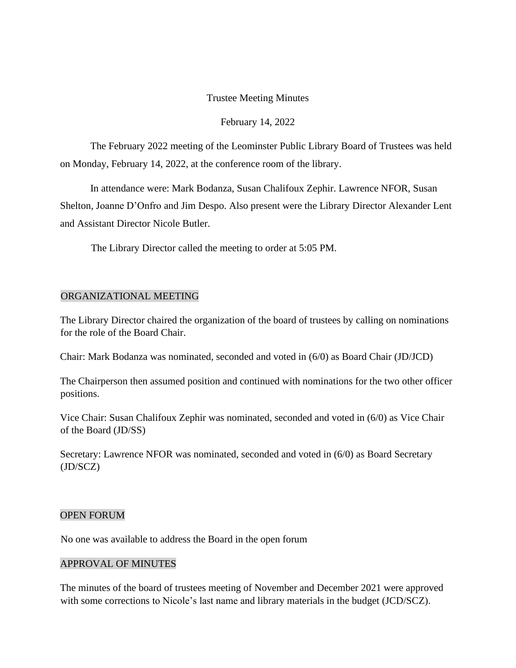# Trustee Meeting Minutes

## February 14, 2022

The February 2022 meeting of the Leominster Public Library Board of Trustees was held on Monday, February 14, 2022, at the conference room of the library.

In attendance were: Mark Bodanza, Susan Chalifoux Zephir. Lawrence NFOR, Susan Shelton, Joanne D'Onfro and Jim Despo. Also present were the Library Director Alexander Lent and Assistant Director Nicole Butler.

The Library Director called the meeting to order at 5:05 PM.

# ORGANIZATIONAL MEETING

The Library Director chaired the organization of the board of trustees by calling on nominations for the role of the Board Chair.

Chair: Mark Bodanza was nominated, seconded and voted in (6/0) as Board Chair (JD/JCD)

The Chairperson then assumed position and continued with nominations for the two other officer positions.

Vice Chair: Susan Chalifoux Zephir was nominated, seconded and voted in (6/0) as Vice Chair of the Board (JD/SS)

Secretary: Lawrence NFOR was nominated, seconded and voted in (6/0) as Board Secretary (JD/SCZ)

#### OPEN FORUM

No one was available to address the Board in the open forum

#### APPROVAL OF MINUTES

The minutes of the board of trustees meeting of November and December 2021 were approved with some corrections to Nicole's last name and library materials in the budget (JCD/SCZ).